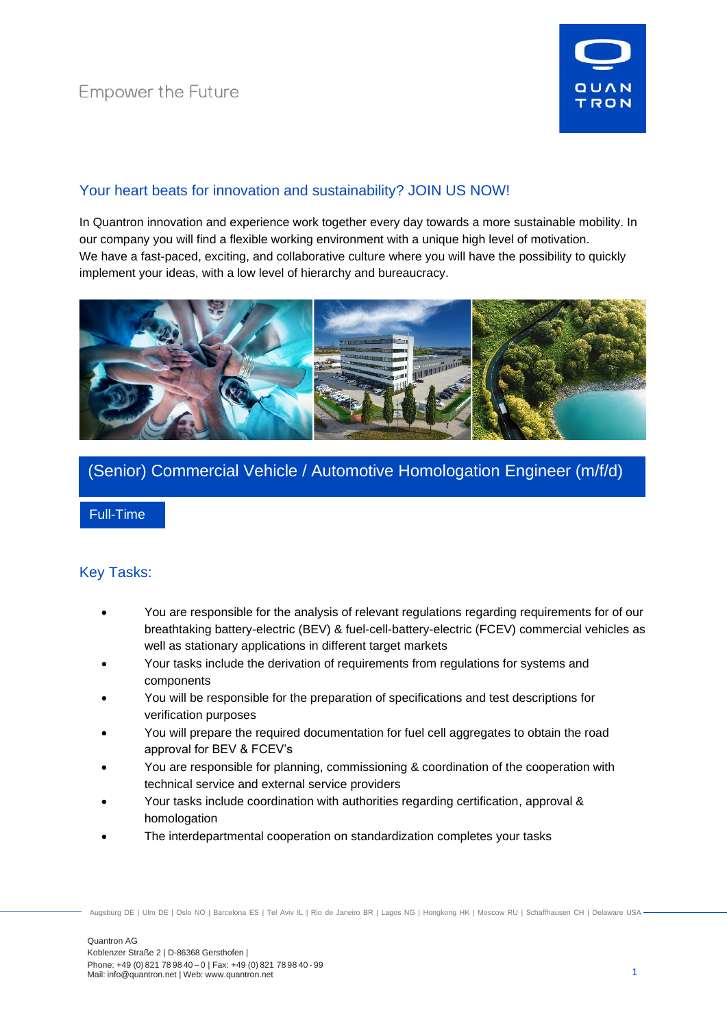

## Your heart beats for innovation and sustainability? JOIN US NOW!

In Quantron innovation and experience work together every day towards a more sustainable mobility. In our company you will find a flexible working environment with a unique high level of motivation. We have a fast-paced, exciting, and collaborative culture where you will have the possibility to quickly implement your ideas, with a low level of hierarchy and bureaucracy.



# (Senior) Commercial Vehicle / Automotive Homologation Engineer (m/f/d)

### Full-Time

### Key Tasks:

- You are responsible for the analysis of relevant regulations regarding requirements for of our breathtaking battery-electric (BEV) & fuel-cell-battery-electric (FCEV) commercial vehicles as well as stationary applications in different target markets
- Your tasks include the derivation of requirements from regulations for systems and components
- You will be responsible for the preparation of specifications and test descriptions for verification purposes
- You will prepare the required documentation for fuel cell aggregates to obtain the road approval for BEV & FCEV's
- You are responsible for planning, commissioning & coordination of the cooperation with technical service and external service providers
- Your tasks include coordination with authorities regarding certification, approval & homologation
- The interdepartmental cooperation on standardization completes your tasks

Augsburg DE | Ulm DE | Oslo NO | Barcelona ES | Tel Aviv IL | Rio de Janeiro BR | Lagos NG | Hongkong HK | Moscow RU | Schaffhausen CH | Delaware USA